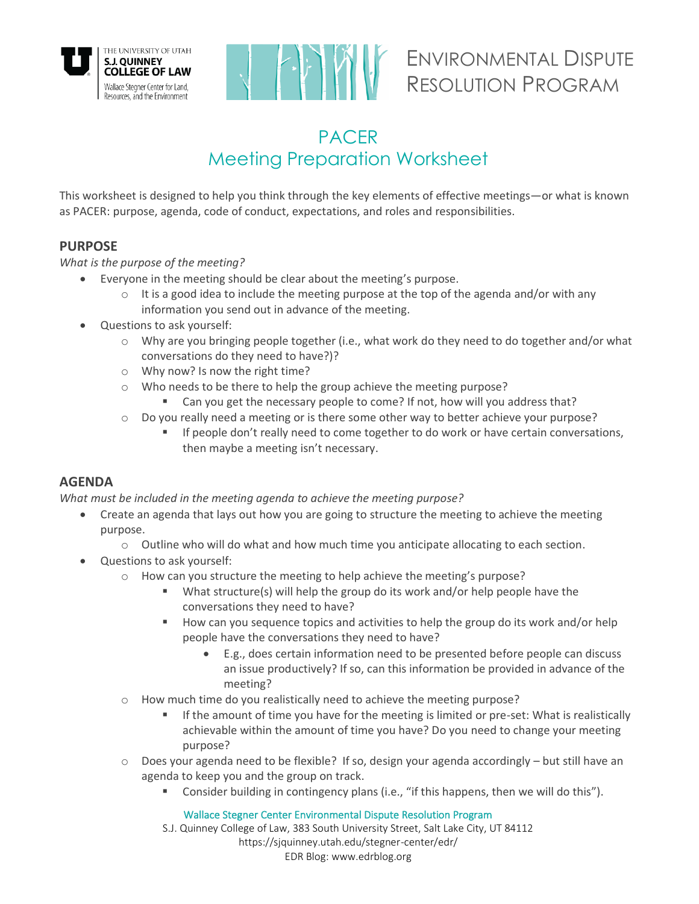



# ENVIRONMENTAL DISPUTE RESOLUTION PROGRAM

# PACER Meeting Preparation Worksheet

This worksheet is designed to help you think through the key elements of effective meetings—or what is known as PACER: purpose, agenda, code of conduct, expectations, and roles and responsibilities.

## **PURPOSE**

#### *What is the purpose of the meeting?*

- Everyone in the meeting should be clear about the meeting's purpose.
	- $\circ$  It is a good idea to include the meeting purpose at the top of the agenda and/or with any information you send out in advance of the meeting.
	- Questions to ask yourself:
		- o Why are you bringing people together (i.e., what work do they need to do together and/or what conversations do they need to have?)?
		- o Why now? Is now the right time?
		- o Who needs to be there to help the group achieve the meeting purpose?
			- Can you get the necessary people to come? If not, how will you address that?
		- o Do you really need a meeting or is there some other way to better achieve your purpose?
			- If people don't really need to come together to do work or have certain conversations, then maybe a meeting isn't necessary.

#### **AGENDA**

*What must be included in the meeting agenda to achieve the meeting purpose?* 

- Create an agenda that lays out how you are going to structure the meeting to achieve the meeting purpose.
	- $\circ$  Outline who will do what and how much time you anticipate allocating to each section.
- Questions to ask yourself:
	- o How can you structure the meeting to help achieve the meeting's purpose?
		- What structure(s) will help the group do its work and/or help people have the conversations they need to have?
		- How can you sequence topics and activities to help the group do its work and/or help people have the conversations they need to have?
			- E.g., does certain information need to be presented before people can discuss an issue productively? If so, can this information be provided in advance of the meeting?
	- o How much time do you realistically need to achieve the meeting purpose?
		- If the amount of time you have for the meeting is limited or pre-set: What is realistically achievable within the amount of time you have? Do you need to change your meeting purpose?
	- $\circ$  Does your agenda need to be flexible? If so, design your agenda accordingly but still have an agenda to keep you and the group on track.
		- Consider building in contingency plans (i.e., "if this happens, then we will do this").

Wallace Stegner Center Environmental Dispute Resolution Program

S.J. Quinney College of Law, 383 South University Street, Salt Lake City, UT 84112 https://sjquinney.utah.edu/stegner-center/edr/ EDR Blog: www.edrblog.org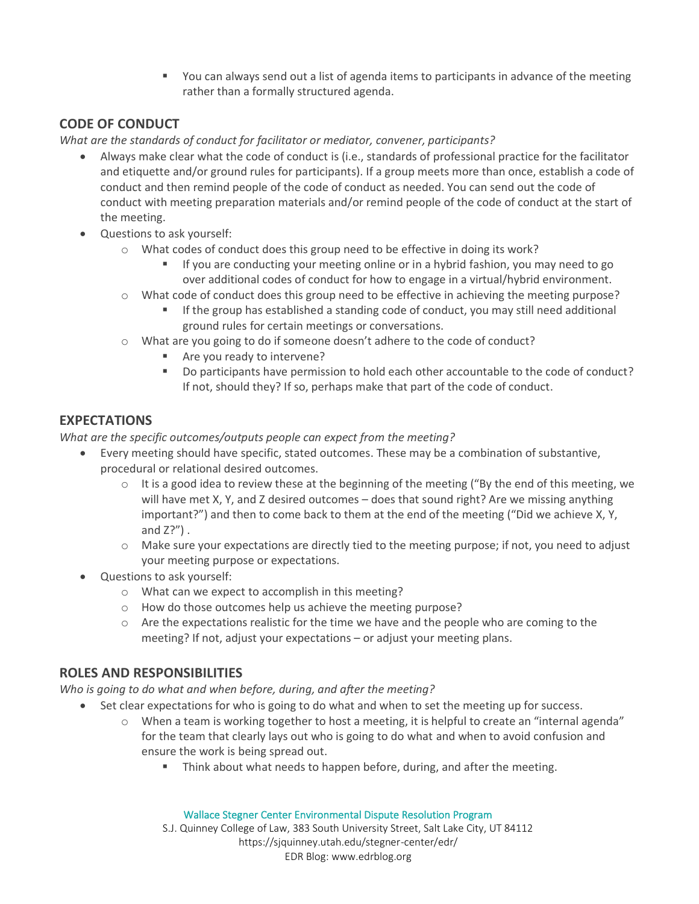■ You can always send out a list of agenda items to participants in advance of the meeting rather than a formally structured agenda.

## **CODE OF CONDUCT**

*What are the standards of conduct for facilitator or mediator, convener, participants?*

- Always make clear what the code of conduct is (i.e., standards of professional practice for the facilitator and etiquette and/or ground rules for participants). If a group meets more than once, establish a code of conduct and then remind people of the code of conduct as needed. You can send out the code of conduct with meeting preparation materials and/or remind people of the code of conduct at the start of the meeting.
- Questions to ask yourself:
	- o What codes of conduct does this group need to be effective in doing its work?
		- If you are conducting your meeting online or in a hybrid fashion, you may need to go over additional codes of conduct for how to engage in a virtual/hybrid environment.
	- o What code of conduct does this group need to be effective in achieving the meeting purpose?
		- **•** If the group has established a standing code of conduct, you may still need additional ground rules for certain meetings or conversations.
	- o What are you going to do if someone doesn't adhere to the code of conduct?
		- Are you ready to intervene?
		- Do participants have permission to hold each other accountable to the code of conduct? If not, should they? If so, perhaps make that part of the code of conduct.

#### **EXPECTATIONS**

*What are the specific outcomes/outputs people can expect from the meeting?*

- Every meeting should have specific, stated outcomes. These may be a combination of substantive, procedural or relational desired outcomes.
	- $\circ$  It is a good idea to review these at the beginning of the meeting ("By the end of this meeting, we will have met X, Y, and Z desired outcomes – does that sound right? Are we missing anything important?") and then to come back to them at the end of the meeting ("Did we achieve X, Y, and  $Z$ ?").
	- o Make sure your expectations are directly tied to the meeting purpose; if not, you need to adjust your meeting purpose or expectations.
- Questions to ask yourself:
	- o What can we expect to accomplish in this meeting?
	- o How do those outcomes help us achieve the meeting purpose?
	- $\circ$  Are the expectations realistic for the time we have and the people who are coming to the meeting? If not, adjust your expectations – or adjust your meeting plans.

#### **ROLES AND RESPONSIBILITIES**

*Who is going to do what and when before, during, and after the meeting?*

- Set clear expectations for who is going to do what and when to set the meeting up for success.
	- o When a team is working together to host a meeting, it is helpful to create an "internal agenda" for the team that clearly lays out who is going to do what and when to avoid confusion and ensure the work is being spread out.
		- Think about what needs to happen before, during, and after the meeting.